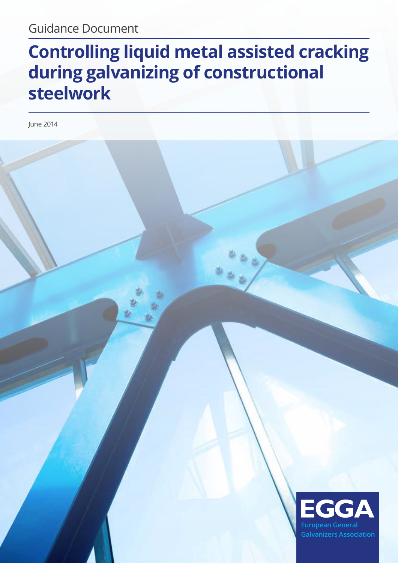# **Controlling liquid metal assisted cracking during galvanizing of constructional steelwork**

June 2014

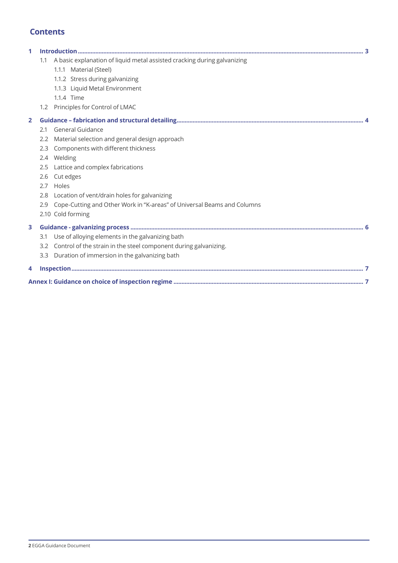# **Contents**

| 1.1 | A basic explanation of liquid metal assisted cracking during galvanizing |                                                                                                                                                                                                                                                                                                                                                                                                                        |  |  |
|-----|--------------------------------------------------------------------------|------------------------------------------------------------------------------------------------------------------------------------------------------------------------------------------------------------------------------------------------------------------------------------------------------------------------------------------------------------------------------------------------------------------------|--|--|
|     | 1.1.1 Material (Steel)                                                   |                                                                                                                                                                                                                                                                                                                                                                                                                        |  |  |
|     | 1.1.2 Stress during galvanizing                                          |                                                                                                                                                                                                                                                                                                                                                                                                                        |  |  |
|     | 1.1.3 Liquid Metal Environment                                           |                                                                                                                                                                                                                                                                                                                                                                                                                        |  |  |
|     | 1.1.4 Time                                                               |                                                                                                                                                                                                                                                                                                                                                                                                                        |  |  |
|     |                                                                          |                                                                                                                                                                                                                                                                                                                                                                                                                        |  |  |
|     |                                                                          |                                                                                                                                                                                                                                                                                                                                                                                                                        |  |  |
| 2.1 | General Guidance                                                         |                                                                                                                                                                                                                                                                                                                                                                                                                        |  |  |
|     |                                                                          |                                                                                                                                                                                                                                                                                                                                                                                                                        |  |  |
|     | Components with different thickness                                      |                                                                                                                                                                                                                                                                                                                                                                                                                        |  |  |
|     |                                                                          |                                                                                                                                                                                                                                                                                                                                                                                                                        |  |  |
|     | Lattice and complex fabrications                                         |                                                                                                                                                                                                                                                                                                                                                                                                                        |  |  |
|     |                                                                          |                                                                                                                                                                                                                                                                                                                                                                                                                        |  |  |
|     |                                                                          |                                                                                                                                                                                                                                                                                                                                                                                                                        |  |  |
|     |                                                                          |                                                                                                                                                                                                                                                                                                                                                                                                                        |  |  |
|     |                                                                          |                                                                                                                                                                                                                                                                                                                                                                                                                        |  |  |
|     |                                                                          |                                                                                                                                                                                                                                                                                                                                                                                                                        |  |  |
|     |                                                                          |                                                                                                                                                                                                                                                                                                                                                                                                                        |  |  |
| 3.1 | Use of alloying elements in the galvanizing bath                         |                                                                                                                                                                                                                                                                                                                                                                                                                        |  |  |
|     |                                                                          |                                                                                                                                                                                                                                                                                                                                                                                                                        |  |  |
|     |                                                                          |                                                                                                                                                                                                                                                                                                                                                                                                                        |  |  |
|     |                                                                          |                                                                                                                                                                                                                                                                                                                                                                                                                        |  |  |
|     |                                                                          |                                                                                                                                                                                                                                                                                                                                                                                                                        |  |  |
|     | 2.3<br>2.5<br>3.3                                                        | 1.2 Principles for Control of LMAC<br>2.2 Material selection and general design approach<br>2.4 Welding<br>2.6 Cut edges<br>2.7 Holes<br>2.8 Location of vent/drain holes for galvanizing<br>2.9 Cope-Cutting and Other Work in "K-areas" of Universal Beams and Columns<br>2.10 Cold forming<br>3.2 Control of the strain in the steel component during galvanizing.<br>Duration of immersion in the galvanizing bath |  |  |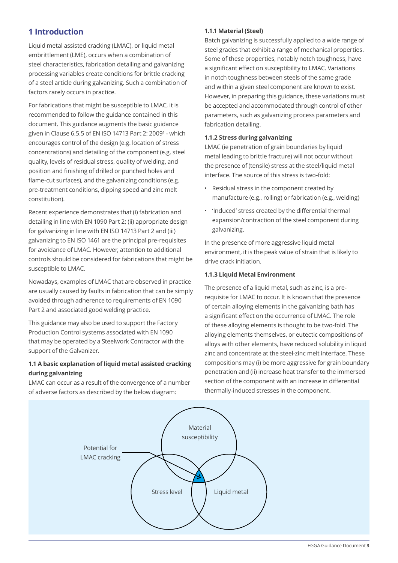# **1 Introduction**

Liquid metal assisted cracking (LMAC), or liquid metal embrittlement (LME), occurs when a combination of steel characteristics, fabrication detailing and galvanizing processing variables create conditions for brittle cracking of a steel article during galvanizing. Such a combination of factors rarely occurs in practice.

For fabrications that might be susceptible to LMAC, it is recommended to follow the guidance contained in this document. This guidance augments the basic guidance given in Clause 6.5.5 of EN ISO 14713 Part 2: 2009<sup>1</sup> - which encourages control of the design (e.g. location of stress concentrations) and detailing of the component (e.g. steel quality, levels of residual stress, quality of welding, and position and finishing of drilled or punched holes and flame-cut surfaces), and the galvanizing conditions (e.g. pre-treatment conditions, dipping speed and zinc melt constitution).

Recent experience demonstrates that (i) fabrication and detailing in line with EN 1090 Part 2; (ii) appropriate design for galvanizing in line with EN ISO 14713 Part 2 and (iii) galvanizing to EN ISO 1461 are the principal pre-requisites for avoidance of LMAC. However, attention to additional controls should be considered for fabrications that might be susceptible to LMAC.

Nowadays, examples of LMAC that are observed in practice are usually caused by faults in fabrication that can be simply avoided through adherence to requirements of EN 1090 Part 2 and associated good welding practice.

This guidance may also be used to support the Factory Production Control systems associated with EN 1090 that may be operated by a Steelwork Contractor with the support of the Galvanizer.

## **1.1 A basic explanation of liquid metal assisted cracking during galvanizing**

LMAC can occur as a result of the convergence of a number of adverse factors as described by the below diagram:

#### **1.1.1 Material (Steel)**

Batch galvanizing is successfully applied to a wide range of steel grades that exhibit a range of mechanical properties. Some of these properties, notably notch toughness, have a significant effect on susceptibility to LMAC. Variations in notch toughness between steels of the same grade and within a given steel component are known to exist. However, in preparing this guidance, these variations must be accepted and accommodated through control of other parameters, such as galvanizing process parameters and fabrication detailing.

#### **1.1.2 Stress during galvanizing**

LMAC (ie penetration of grain boundaries by liquid metal leading to brittle fracture) will not occur without the presence of (tensile) stress at the steel/liquid metal interface. The source of this stress is two-fold:

- Residual stress in the component created by manufacture (e.g., rolling) or fabrication (e.g., welding)
- • 'Induced' stress created by the differential thermal expansion/contraction of the steel component during galvanizing.

In the presence of more aggressive liquid metal environment, it is the peak value of strain that is likely to drive crack initiation.

#### **1.1.3 Liquid Metal Environment**

The presence of a liquid metal, such as zinc, is a prerequisite for LMAC to occur. It is known that the presence of certain alloying elements in the galvanizing bath has a significant effect on the occurrence of LMAC. The role of these alloying elements is thought to be two-fold. The alloying elements themselves, or eutectic compositions of alloys with other elements, have reduced solubility in liquid zinc and concentrate at the steel-zinc melt interface. These compositions may (i) be more aggressive for grain boundary penetration and (ii) increase heat transfer to the immersed section of the component with an increase in differential thermally-induced stresses in the component.

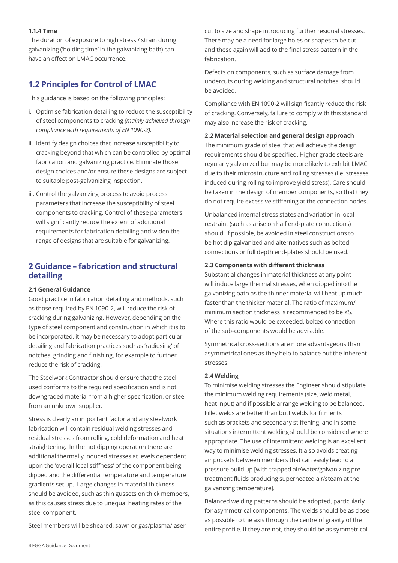#### **1.1.4 Time**

The duration of exposure to high stress / strain during galvanizing ('holding time' in the galvanizing bath) can have an effect on LMAC occurrence.

# **1.2 Principles for Control of LMAC**

This guidance is based on the following principles:

- i. Optimise fabrication detailing to reduce the susceptibility of steel components to cracking *(mainly achieved through compliance with requirements of EN 1090-2)*.
- ii. Identify design choices that increase susceptibility to cracking beyond that which can be controlled by optimal fabrication and galvanizing practice. Eliminate those design choices and/or ensure these designs are subject to suitable post-galvanizing inspection.
- iii. Control the galvanizing process to avoid process parameters that increase the susceptibility of steel components to cracking. Control of these parameters will significantly reduce the extent of additional requirements for fabrication detailing and widen the range of designs that are suitable for galvanizing.

## **2 Guidance – fabrication and structural detailing**

#### **2.1 General Guidance**

Good practice in fabrication detailing and methods, such as those required by EN 1090-2, will reduce the risk of cracking during galvanizing. However, depending on the type of steel component and construction in which it is to be incorporated, it may be necessary to adopt particular detailing and fabrication practices such as 'radiusing' of notches, grinding and finishing, for example to further reduce the risk of cracking.

The Steelwork Contractor should ensure that the steel used conforms to the required specification and is not downgraded material from a higher specification, or steel from an unknown supplier.

Stress is clearly an important factor and any steelwork fabrication will contain residual welding stresses and residual stresses from rolling, cold deformation and heat straightening. In the hot dipping operation there are additional thermally induced stresses at levels dependent upon the 'overall local stiffness' of the component being dipped and the differential temperature and temperature gradients set up. Large changes in material thickness should be avoided, such as thin gussets on thick members, as this causes stress due to unequal heating rates of the steel component.

Steel members will be sheared, sawn or gas/plasma/laser

cut to size and shape introducing further residual stresses. There may be a need for large holes or shapes to be cut and these again will add to the final stress pattern in the fabrication.

Defects on components, such as surface damage from undercuts during welding and structural notches, should be avoided.

Compliance with EN 1090-2 will significantly reduce the risk of cracking. Conversely, failure to comply with this standard may also increase the risk of cracking.

#### **2.2 Material selection and general design approach**

The minimum grade of steel that will achieve the design requirements should be specified. Higher grade steels are regularly galvanized but may be more likely to exhibit LMAC due to their microstructure and rolling stresses (i.e. stresses induced during rolling to improve yield stress). Care should be taken in the design of member components, so that they do not require excessive stiffening at the connection nodes.

Unbalanced internal stress states and variation in local restraint (such as arise on half end-plate connections) should, if possible, be avoided in steel constructions to be hot dip galvanized and alternatives such as bolted connections or full depth end-plates should be used.

#### **2.3 Components with different thickness**

Substantial changes in material thickness at any point will induce large thermal stresses, when dipped into the galvanizing bath as the thinner material will heat up much faster than the thicker material. The ratio of maximum/ minimum section thickness is recommended to be ≤5. Where this ratio would be exceeded, bolted connection of the sub-components would be advisable.

Symmetrical cross-sections are more advantageous than asymmetrical ones as they help to balance out the inherent stresses.

#### **2.4 Welding**

To minimise welding stresses the Engineer should stipulate the minimum welding requirements (size, weld metal, heat input) and if possible arrange welding to be balanced. Fillet welds are better than butt welds for fitments such as brackets and secondary stiffening, and in some situations intermittent welding should be considered where appropriate. The use of intermittent welding is an excellent way to minimise welding stresses. It also avoids creating air pockets between members that can easily lead to a pressure build up [with trapped air/water/galvanizing pretreatment fluids producing superheated air/steam at the galvanizing temperature].

Balanced welding patterns should be adopted, particularly for asymmetrical components. The welds should be as close as possible to the axis through the centre of gravity of the entire profile. If they are not, they should be as symmetrical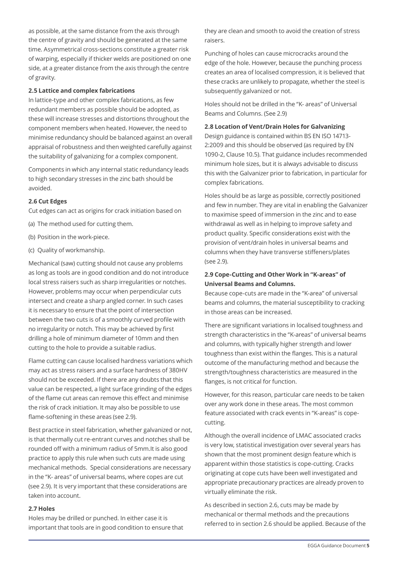as possible, at the same distance from the axis through the centre of gravity and should be generated at the same time. Asymmetrical cross-sections constitute a greater risk of warping, especially if thicker welds are positioned on one side, at a greater distance from the axis through the centre of gravity.

#### **2.5 Lattice and complex fabrications**

In lattice-type and other complex fabrications, as few redundant members as possible should be adopted, as these will increase stresses and distortions throughout the component members when heated. However, the need to minimise redundancy should be balanced against an overall appraisal of robustness and then weighted carefully against the suitability of galvanizing for a complex component.

Components in which any internal static redundancy leads to high secondary stresses in the zinc bath should be avoided.

#### **2.6 Cut Edges**

Cut edges can act as origins for crack initiation based on

- (a) The method used for cutting them.
- (b) Position in the work-piece.
- (c) Quality of workmanship.

Mechanical (saw) cutting should not cause any problems as long as tools are in good condition and do not introduce local stress raisers such as sharp irregularities or notches. However, problems may occur when perpendicular cuts intersect and create a sharp angled corner. In such cases it is necessary to ensure that the point of intersection between the two cuts is of a smoothly curved profile with no irregularity or notch. This may be achieved by first drilling a hole of minimum diameter of 10mm and then cutting to the hole to provide a suitable radius.

Flame cutting can cause localised hardness variations which may act as stress raisers and a surface hardness of 380HV should not be exceeded. If there are any doubts that this value can be respected, a light surface grinding of the edges of the flame cut areas can remove this effect and minimise the risk of crack initiation. It may also be possible to use flame-softening in these areas (see 2.9).

Best practice in steel fabrication, whether galvanized or not, is that thermally cut re-entrant curves and notches shall be rounded off with a minimum radius of 5mm.It is also good practice to apply this rule when such cuts are made using mechanical methods. Special considerations are necessary in the "K- areas" of universal beams, where copes are cut (see 2.9). It is very important that these considerations are taken into account.

#### **2.7 Holes**

Holes may be drilled or punched. In either case it is important that tools are in good condition to ensure that they are clean and smooth to avoid the creation of stress raisers.

Punching of holes can cause microcracks around the edge of the hole. However, because the punching process creates an area of localised compression, it is believed that these cracks are unlikely to propagate, whether the steel is subsequently galvanized or not.

Holes should not be drilled in the "K- areas" of Universal Beams and Columns. (See 2.9)

#### **2.8 Location of Vent/Drain Holes for Galvanizing**

Design guidance is contained within BS EN ISO 14713- 2:2009 and this should be observed (as required by EN 1090-2, Clause 10.5). That guidance includes recommended minimum hole sizes, but it is always advisable to discuss this with the Galvanizer prior to fabrication, in particular for complex fabrications.

Holes should be as large as possible, correctly positioned and few in number. They are vital in enabling the Galvanizer to maximise speed of immersion in the zinc and to ease withdrawal as well as in helping to improve safety and product quality. Specific considerations exist with the provision of vent/drain holes in universal beams and columns when they have transverse stiffeners/plates (see 2.9).

#### **2.9 Cope-Cutting and Other Work in "K-areas" of Universal Beams and Columns.**

Because cope-cuts are made in the "K-area" of universal beams and columns, the material susceptibility to cracking in those areas can be increased.

There are significant variations in localised toughness and strength characteristics in the "K-areas" of universal beams and columns, with typically higher strength and lower toughness than exist within the flanges. This is a natural outcome of the manufacturing method and because the strength/toughness characteristics are measured in the flanges, is not critical for function.

However, for this reason, particular care needs to be taken over any work done in these areas. The most common feature associated with crack events in "K-areas" is copecutting.

Although the overall incidence of LMAC associated cracks is very low, statistical investigation over several years has shown that the most prominent design feature which is apparent within those statistics is cope-cutting. Cracks originating at cope cuts have been well investigated and appropriate precautionary practices are already proven to virtually eliminate the risk.

As described in section 2.6, cuts may be made by mechanical or thermal methods and the precautions referred to in section 2.6 should be applied. Because of the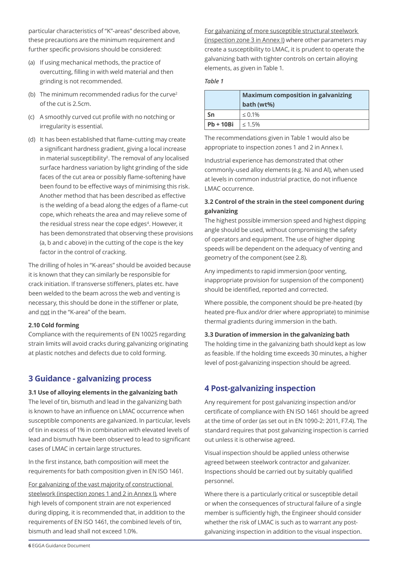particular characteristics of "K"-areas" described above, these precautions are the minimum requirement and further specific provisions should be considered:

- (a) If using mechanical methods, the practice of overcutting, filling in with weld material and then grinding is not recommended.
- (b) The minimum recommended radius for the curve<sup>2</sup> of the cut is 2.5cm.
- (c) A smoothly curved cut profile with no notching or irregularity is essential.
- (d) It has been established that flame-cutting may create a significant hardness gradient, giving a local increase in material susceptibility<sup>3</sup>. The removal of any localised surface hardness variation by light grinding of the side faces of the cut area or possibly flame-softening have been found to be effective ways of minimising this risk. Another method that has been described as effective is the welding of a bead along the edges of a flame-cut cope, which reheats the area and may relieve some of the residual stress near the cope edges<sup>4</sup>. However, it has been demonstrated that observing these provisions (a, b and c above) in the cutting of the cope is the key factor in the control of cracking.

The drilling of holes in "K-areas" should be avoided because it is known that they can similarly be responsible for crack initiation. If transverse stiffeners, plates etc. have been welded to the beam across the web and venting is necessary, this should be done in the stiffener or plate, and not in the "K-area" of the beam.

#### **2.10 Cold forming**

Compliance with the requirements of EN 10025 regarding strain limits will avoid cracks during galvanizing originating at plastic notches and defects due to cold forming.

## **3 Guidance - galvanizing process**

#### **3.1 Use of alloying elements in the galvanizing bath**

The level of tin, bismuth and lead in the galvanizing bath is known to have an influence on LMAC occurrence when susceptible components are galvanized. In particular, levels of tin in excess of 1% in combination with elevated levels of lead and bismuth have been observed to lead to significant cases of LMAC in certain large structures.

In the first instance, bath composition will meet the requirements for bath composition given in EN ISO 1461.

For galvanizing of the vast majority of constructional steelwork (inspection zones 1 and 2 in Annex I), where high levels of component strain are not experienced during dipping, it is recommended that, in addition to the requirements of EN ISO 1461, the combined levels of tin, bismuth and lead shall not exceed 1.0%.

For galvanizing of more susceptible structural steelwork (inspection zone 3 in Annex I) where other parameters may create a susceptibility to LMAC, it is prudent to operate the galvanizing bath with tighter controls on certain alloying elements, as given in Table 1.

## *Table 1*

|             | <b>Maximum composition in galvanizing</b> |
|-------------|-------------------------------------------|
|             | bath (wt%)                                |
| Sn          | $\leq 0.1\%$                              |
| $Pb + 10Bi$ | 1 < 1.5%                                  |

The recommendations given in Table 1 would also be appropriate to inspection zones 1 and 2 in Annex I.

Industrial experience has demonstrated that other commonly-used alloy elements (e.g. Ni and Al), when used at levels in common industrial practice, do not influence LMAC occurrence.

### **3.2 Control of the strain in the steel component during galvanizing**

The highest possible immersion speed and highest dipping angle should be used, without compromising the safety of operators and equipment. The use of higher dipping speeds will be dependent on the adequacy of venting and geometry of the component (see 2.8).

Any impediments to rapid immersion (poor venting, inappropriate provision for suspension of the component) should be identified, reported and corrected.

Where possible, the component should be pre-heated (by heated pre-flux and/or drier where appropriate) to minimise thermal gradients during immersion in the bath.

#### **3.3 Duration of immersion in the galvanizing bath**

The holding time in the galvanizing bath should kept as low as feasible. If the holding time exceeds 30 minutes, a higher level of post-galvanizing inspection should be agreed.

## **4 Post-galvanizing inspection**

Any requirement for post galvanizing inspection and/or certificate of compliance with EN ISO 1461 should be agreed at the time of order (as set out in EN 1090-2: 2011, F7.4). The standard requires that post galvanizing inspection is carried out unless it is otherwise agreed.

Visual inspection should be applied unless otherwise agreed between steelwork contractor and galvanizer. Inspections should be carried out by suitably qualified personnel.

Where there is a particularly critical or susceptible detail or when the consequences of structural failure of a single member is sufficiently high, the Engineer should consider whether the risk of LMAC is such as to warrant any postgalvanizing inspection in addition to the visual inspection.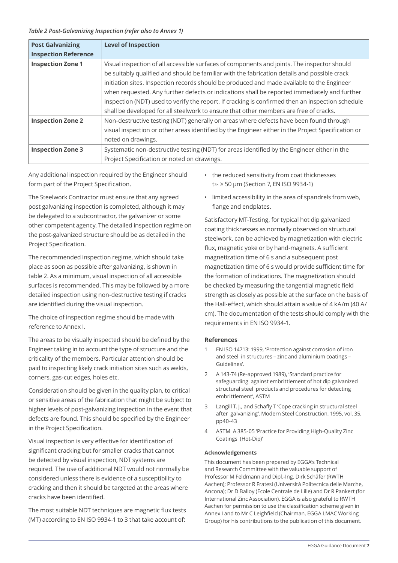#### *Table 2 Post-Galvanizing Inspection (refer also to Annex 1)*

| <b>Post Galvanizing</b>     | <b>Level of Inspection</b>                                                                         |
|-----------------------------|----------------------------------------------------------------------------------------------------|
| <b>Inspection Reference</b> |                                                                                                    |
| <b>Inspection Zone 1</b>    | Visual inspection of all accessible surfaces of components and joints. The inspector should        |
|                             | be suitably qualified and should be familiar with the fabrication details and possible crack       |
|                             | initiation sites. Inspection records should be produced and made available to the Engineer         |
|                             | when requested. Any further defects or indications shall be reported immediately and further       |
|                             | inspection (NDT) used to verify the report. If cracking is confirmed then an inspection schedule   |
|                             | shall be developed for all steelwork to ensure that other members are free of cracks.              |
| <b>Inspection Zone 2</b>    | Non-destructive testing (NDT) generally on areas where defects have been found through             |
|                             | visual inspection or other areas identified by the Engineer either in the Project Specification or |
|                             | noted on drawings.                                                                                 |
| <b>Inspection Zone 3</b>    | Systematic non-destructive testing (NDT) for areas identified by the Engineer either in the        |
|                             | Project Specification or noted on drawings.                                                        |

Any additional inspection required by the Engineer should form part of the Project Specification.

The Steelwork Contractor must ensure that any agreed post galvanizing inspection is completed, although it may be delegated to a subcontractor, the galvanizer or some other competent agency. The detailed inspection regime on the post-galvanized structure should be as detailed in the Project Specification.

The recommended inspection regime, which should take place as soon as possible after galvanizing, is shown in table 2. As a minimum, visual inspection of all accessible surfaces is recommended. This may be followed by a more detailed inspection using non-destructive testing if cracks are identified during the visual inspection.

The choice of inspection regime should be made with reference to Annex I.

The areas to be visually inspected should be defined by the Engineer taking in to account the type of structure and the criticality of the members. Particular attention should be paid to inspecting likely crack initiation sites such as welds, corners, gas-cut edges, holes etc.

Consideration should be given in the quality plan, to critical or sensitive areas of the fabrication that might be subject to higher levels of post-galvanizing inspection in the event that defects are found. This should be specified by the Engineer in the Project Specification.

Visual inspection is very effective for identification of significant cracking but for smaller cracks that cannot be detected by visual inspection, NDT systems are required. The use of additional NDT would not normally be considered unless there is evidence of a susceptibility to cracking and then it should be targeted at the areas where cracks have been identified.

The most suitable NDT techniques are magnetic flux tests (MT) according to EN ISO 9934-1 to 3 that take account of:

- the reduced sensitivity from coat thicknesses  $t_{Zn} \geq 50$  µm (Section 7, EN ISO 9934-1)
- limited accessibility in the area of spandrels from web, flange and endplates.

Satisfactory MT-Testing, for typical hot dip galvanized coating thicknesses as normally observed on structural steelwork, can be achieved by magnetization with electric flux, magnetic yoke or by hand-magnets. A sufficient magnetization time of 6 s and a subsequent post magnetization time of 6 s would provide sufficient time for the formation of indications. The magnetization should be checked by measuring the tangential magnetic field strength as closely as possible at the surface on the basis of the Hall-effect, which should attain a value of 4 kA/m (40 A/ cm). The documentation of the tests should comply with the requirements in EN ISO 9934-1.

#### **References**

- 1 EN ISO 14713: 1999, 'Protection against corrosion of iron and steel in structures – zinc and aluminium coatings – Guidelines'.
- 2 A 143-74 (Re-approved 1989), 'Standard practice for safeguarding against embrittlement of hot dip galvanized structural steel products and procedures for detecting embrittlement', ASTM
- 3 Langill T. J., and Schafly T 'Cope cracking in structural steel after galvanizing', Modern Steel Construction, 1995, vol. 35, pp40-43
- 4 ASTM A 385-05 'Practice for Providing High-Quality Zinc Coatings (Hot-Dip)'

#### **Acknowledgements**

This document has been prepared by EGGA's Technical and Research Committee with the valuable support of Professor M Feldmann and Dipl.-Ing. Dirk Schäfer (RWTH Aachen); Professor R Fratesi (Università Politecnica delle Marche, Ancona); Dr D Balloy (Ecole Centrale de Lille) and Dr R Pankert (for International Zinc Association). EGGA is also grateful to RWTH Aachen for permission to use the classification scheme given in Annex I and to Mr C Leighfield (Chairman, EGGA LMAC Working Group) for his contributions to the publication of this document.